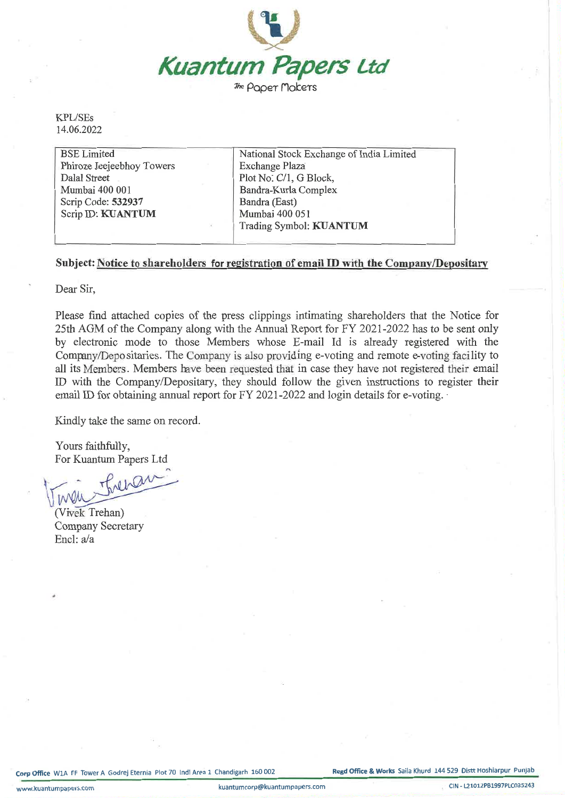

*The* Paper Makers

KPL/SEs 14.06.2022

| <b>BSE</b> Limited        | National Stock Exchange of India Limited |
|---------------------------|------------------------------------------|
| Phiroze Jeejeebhoy Towers | Exchange Plaza                           |
| Dalal Street              | Plot No. C/1, G Block,                   |
| Mumbai 400 001            | Bandra-Kurla Complex                     |
| Scrip Code: 532937        | Bandra (East)                            |
| Scrip ID: KUANTUM         | Mumbai 400 051                           |
|                           | Trading Symbol: KUANTUM                  |
|                           |                                          |

## Subject: Notice to shareholders for registration of email ID with the Company/Depositary

Dear Sir,

Please find attached copies of the press clippings intimating shareholders that the Notice for 25th AGM of the Company along with the Annual Report for FY 2021-2022 has to be sent only by electronic mode to those Members whose E-mail Id is already registered with the Company/Depositaries. The Company is also providing e-voting and remote e-voting facility to all its Members. Members have been requested that in case they have not registered their email ID with the Company/Depositary, they should follow the given instructions to register their email ID for obtaining annual report for FY 2021-2022 and login details for e-voting.

Kindly take the same on record.

Yours faithfully, For Kuantum Papers Ltd

Theran  $\sqrt{W}$ 

(Vivek Trehan) Company Secretary Encl: a/a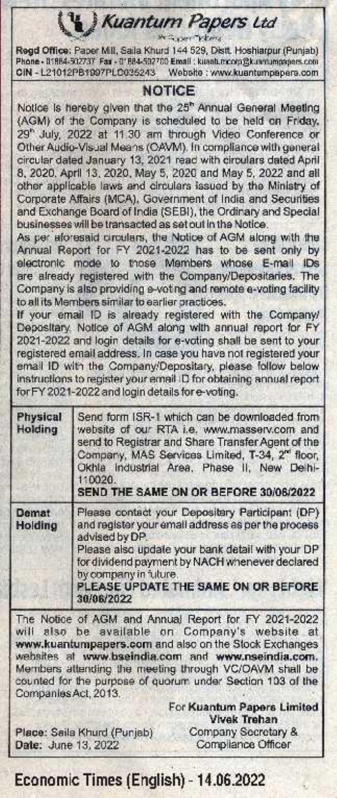Kuantum Papers Ltd

She Gunger Thema

Regd Office: Paper Mill, Saila Khurd 144 529, Distt. Hoshiarpur (Punjab) Phone - 01884-502737 Fax - 01884-502700 Email : kuantumcorp@kuantumpapers.com CIN - L21012PB1997PLC035243 Website : www.kuantumpapers.com

## **NOTICE**

Notice is hereby given that the 25<sup>h</sup> Annual General Meeting (AGM) of the Company is scheduled to be held on Friday, 29" July, 2022 at 11.30 am through Video Conference or Other Audio-Visual Means (OAVM). In compliance with general circular dated January 13, 2021 read with circulars dated April 8, 2020. April 13, 2020, May 5, 2020 and May 5, 2022 and all other applicable laws and circulars issued by the Ministry of Corporate Affairs (MCA), Government of India and Securities and Exchange Board of India (SEBI), the Ordinary and Special businesses will be transacted as set out in the Notice.

As per aforesaid circulars, the Notice of AGM along with the Annual Report for FY 2021-2022 has to be sent only by electronic mode to those Mambers whose E-mail IDs are already registered with the Company/Depositaries. The Company is also providing e-voting and remote e-voting facility to all its Members similar to earlier practices.

If your email ID is already registered with the Company/ Depositary. Notice of AGM along with annual report for FY 2021-2022 and login details for e-voting shall be sent to your registered email address. In case you have not registered your email ID with the Company/Depositary, please follow below instructions to register your email ID for obtaining annual report for FY 2021-2022 and login details for e-voting.

| <b>Physical</b><br>Holding | Send form ISR-1 which can be downloaded from<br>website of our RTA i.e. www.masserv.com and<br>send to Registrar and Share Transfer Agent of the<br>Company, MAS Services Limited, T-34, 2 <sup>m</sup> floor,<br>Okhla Industrial Area, Phase II, New Delhi-<br>110020.<br>SEND THE SAME ON OR BEFORE 30/06/2022 |
|----------------------------|-------------------------------------------------------------------------------------------------------------------------------------------------------------------------------------------------------------------------------------------------------------------------------------------------------------------|
| Demat<br>Holding           | Please contact your Depositery Participant (DP)<br>and register your email address as per the process<br>advised by DP.<br>Please also update your bank detail with your DP.<br>for dividend payment by NACH whenever declared<br>by company in future.<br>PLEASE UPDATE THE SAME ON OR BEFORE<br>30/06/2022      |

The Notice of AGM and Annual Report for FY 2021-2022 will also be available on Company's website at www.kuantumpapers.com and also on the Stock Exchanges websites at www.bseindia.com and www.nseindia.com. Members attending the meeting through VC/OAVM shall be counted for the purpose of quorum under Section 103 of the Companies Act, 2013.

Place: Saila Khurd (Punjab) Date: June 13, 2022

For Kuantum Papers Limited **Vivek Trehan** Company Socretary & Compliance Officer

## Economic Times (English) - 14.06.2022